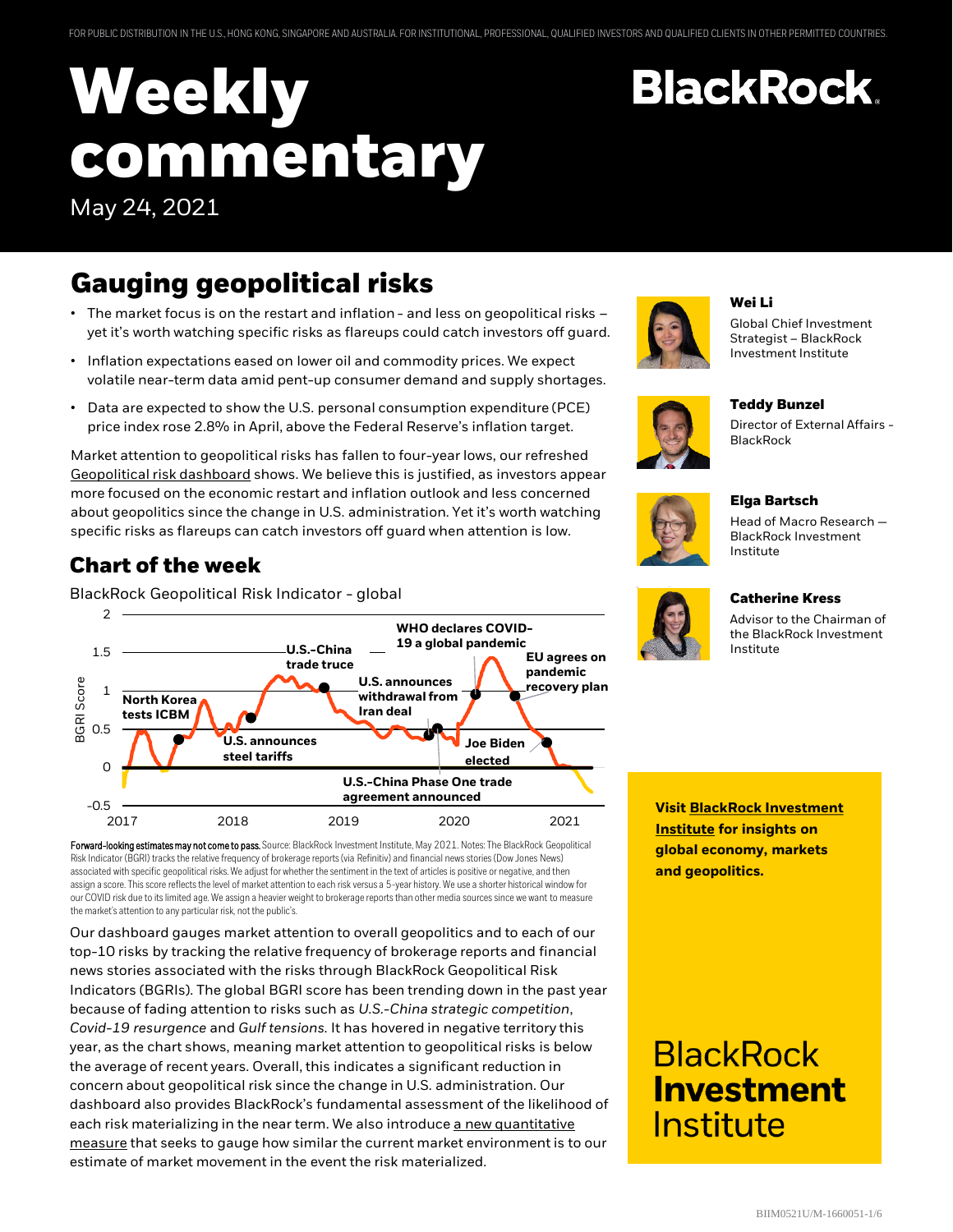# **Weekly commentary** May 24, 2021

## **Gauging geopolitical risks**

- The market focus is on the restart and inflation and less on geopolitical risks yet it's worth watching specific risks as flareups could catch investors off guard.
- Inflation expectations eased on lower oil and commodity prices. We expect volatile near-term data amid pent-up consumer demand and supply shortages.
- Data are expected to show the U.S. personal consumption expenditure (PCE) price index rose 2.8% in April, above the Federal Reserve's inflation target.

Market attention to geopolitical risks has fallen to four-year lows, our refreshed [Geopolitical risk dashboard](https://www.blackrock.com/corporate/insights/blackrock-investment-institute/interactive-charts/geopolitical-risk-dashboard) shows. We believe this is justified, as investors appear more focused on the economic restart and inflation outlook and less concerned about geopolitics since the change in U.S. administration. Yet it's worth watching specific risks as flareups can catch investors off guard when attention is low.

#### **Chart of the week**

BlackRock Geopolitical Risk Indicator - global



Forward-looking estimates may not come to pass. Source: BlackRock Investment Institute, May 2021. Notes: The BlackRock Geopolitical Risk Indicator (BGRI) tracks the relative frequency of brokerage reports (via Refinitiv) and financial news stories (Dow Jones News) associated with specific geopolitical risks. We adjust for whether the sentiment in the text of articles is positive or negative, and then assign a score. This score reflects the level of market attention to each risk versus a 5-year history. We use a shorter historical window for our COVID risk due to its limited age. We assign a heavier weight to brokerage reports than other media sources since we want to measure the market's attention to any particular risk, not the public's.

Our dashboard gauges market attention to overall geopolitics and to each of our top-10 risks by tracking the relative frequency of brokerage reports and financial news stories associated with the risks through BlackRock Geopolitical Risk Indicators (BGRIs). The global BGRI score has been trending down in the past year because of fading attention to risks such as *U.S.-China strategic competition*, *Covid-19 resurgence* and *Gulf tensions.* It has hovered in negative territory this year, as the chart shows, meaning market attention to geopolitical risks is below the average of recent years. Overall, this indicates a significant reduction in concern about geopolitical risk since the change in U.S. administration. Our dashboard also provides BlackRock's fundamental assessment of the likelihood of [each risk materializing in the near term. We also introduce a new quantitative](https://www.blackrock.com/corporate/insights/blackrock-investment-institute/interactive-charts/geopolitical-risk-dashboard#market-movement)  measure that seeks to gauge how similar the current market environment is to our estimate of market movement in the event the risk materialized.



### **BlackRock Investment** Institute



#### **Wei Li**

**BlackRock.** 

Global Chief Investment Strategist – BlackRock Investment Institute

Director of External Affairs -



#### **Elga Bartsch**

**BlackRock** 

**Teddy Bunzel**

Head of Macro Research — BlackRock Investment Institute



**Catherine Kress**

Advisor to the Chairman of the BlackRock Investment Institute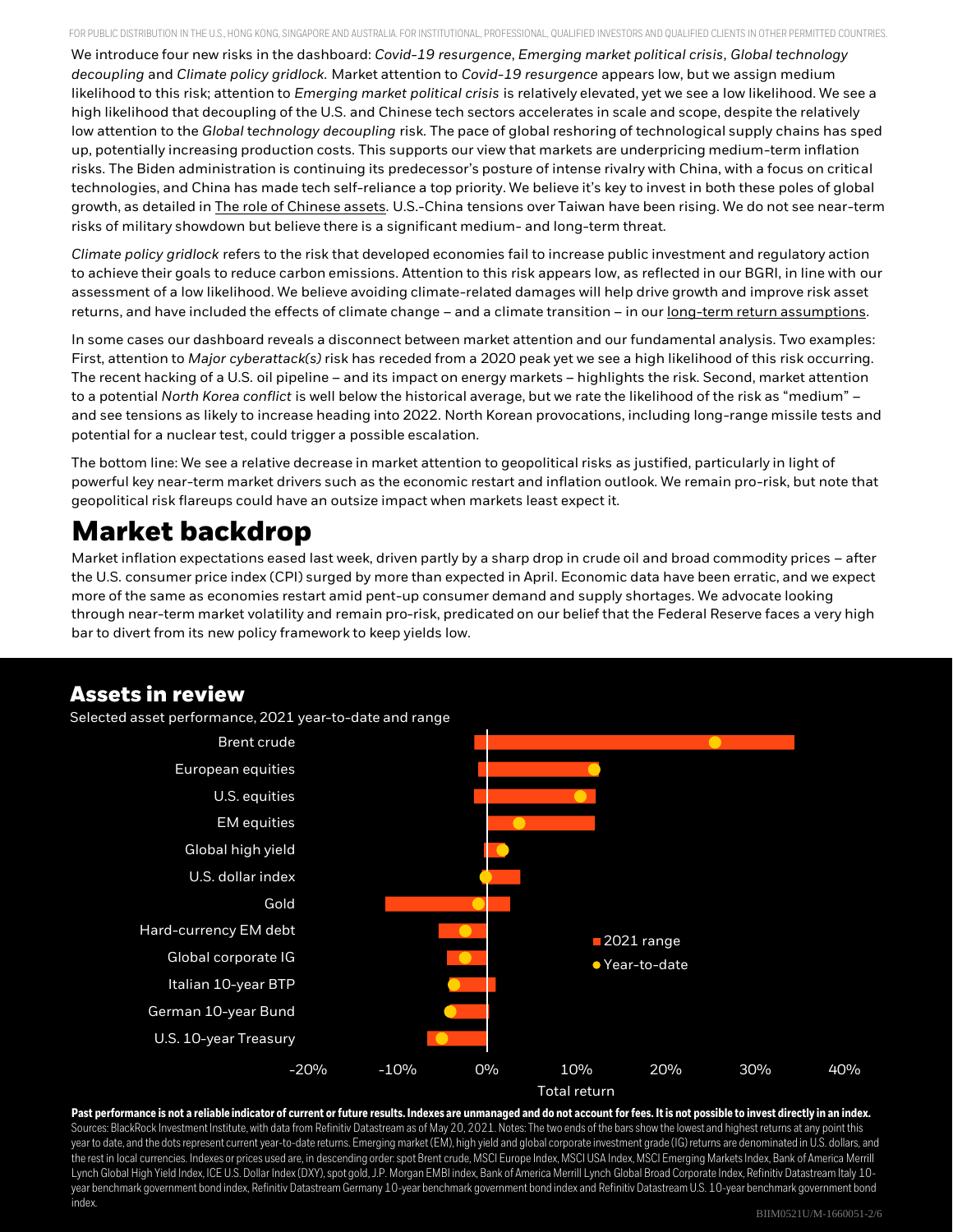FOR PUBLIC DISTRIBUTION IN THE U.S., HONG KONG, SINGAPORE AND AUSTRALIA. FOR INSTITUTIONAL, PROFESSIONAL, QUALIFIED INVESTORS AND QUALIFIED CLIENTS IN OTHER PERMITTED COUNTRIES.

We introduce four new risks in the dashboard: *Covid-19 resurgence*, *Emerging market political crisis*, *Global technology decoupling* and *Climate policy gridlock*. Market attention to *Covid-19 resurgence* appears low, but we assign medium likelihood to this risk; attention to *Emerging market political crisis* is relatively elevated, yet we see a low likelihood. We see a high likelihood that decoupling of the U.S. and Chinese tech sectors accelerates in scale and scope, despite the relatively low attention to the *Global* t*echnology decoupling* risk. The pace of global reshoring of technological supply chains has sped up, potentially increasing production costs. This supports our view that markets are underpricing medium-term inflation risks. The Biden administration is continuing its predecessor's posture of intense rivalry with China, with a focus on critical technologies, and China has made tech self-reliance a top priority. We believe it's key to invest in both these poles of global growth, as detailed in [The role of Chinese assets](https://www.blackrock.com/corporate/insights/blackrock-investment-institute/publications/investing-in-chinese-assets). U.S.-China tensions over Taiwan have been rising. We do not see near-term risks of military showdown but believe there is a significant medium- and long-term threat.

*Climate policy gridlock* refers to the risk that developed economies fail to increase public investment and regulatory action to achieve their goals to reduce carbon emissions. Attention to this risk appears low, as reflected in our BGRI, in line with our assessment of a low likelihood. We believe avoiding climate-related damages will help drive growth and improve risk asset returns, and have included the effects of climate change – and a climate transition – in our [long-term return assumptions.](https://www.blackrock.com/us/individual/insights/blackrock-investment-institute/investing-in-climate-awareness)

In some cases our dashboard reveals a disconnect between market attention and our fundamental analysis. Two examples: First, attention to *Major cyberattack(s)* risk has receded from a 2020 peak yet we see a high likelihood of this risk occurring. The recent hacking of a U.S. oil pipeline – and its impact on energy markets – highlights the risk. Second, market attention to a potential *North Korea conflict* is well below the historical average, but we rate the likelihood of the risk as "medium" – and see tensions as likely to increase heading into 2022. North Korean provocations, including long-range missile tests and potential for a nuclear test, could trigger a possible escalation.

The bottom line: We see a relative decrease in market attention to geopolitical risks as justified, particularly in light of powerful key near-term market drivers such as the economic restart and inflation outlook. We remain pro-risk, but note that geopolitical risk flareups could have an outsize impact when markets least expect it.

### **Market backdrop**

Market inflation expectations eased last week, driven partly by a sharp drop in crude oil and broad commodity prices – after the U.S. consumer price index (CPI) surged by more than expected in April. Economic data have been erratic, and we expect more of the same as economies restart amid pent-up consumer demand and supply shortages. We advocate looking through near-term market volatility and remain pro-risk, predicated on our belief that the Federal Reserve faces a very high bar to divert from its new policy framework to keep yields low.

#### **Assets in review**

Selected asset performance, 2021 year-to-date and range



**Past performance is not a reliable indicator of current or future results. Indexes are unmanaged and do not account for fees. It is not possible to invest directly in an index.** Sources: BlackRock Investment Institute, with data from Refinitiv Datastreamas of May 20, 2021. Notes: The two ends of the bars show the lowest and highest returns at any point this year to date, and the dots represent current year-to-date returns. Emerging market (EM), high yield and global corporate investment grade (IG) returns are denominated in U.S. dollars, and the rest in local currencies. Indexes or prices used are, in descending order: spot Brent crude, MSCI Europe Index, MSCI USA Index, MSCI Emerging Markets Index, Bank of America Merrill Lynch Global High Yield Index, ICE U.S. Dollar Index (DXY), spot gold, J.P. Morgan EMBI index, Bank of America Merrill Lynch Global Broad Corporate Index, Refinitiv Datastream Italy 10year benchmark government bond index, Refinitiv Datastream Germany 10-year benchmark government bond index and Refinitiv Datastream U.S. 10-year benchmark government bond index.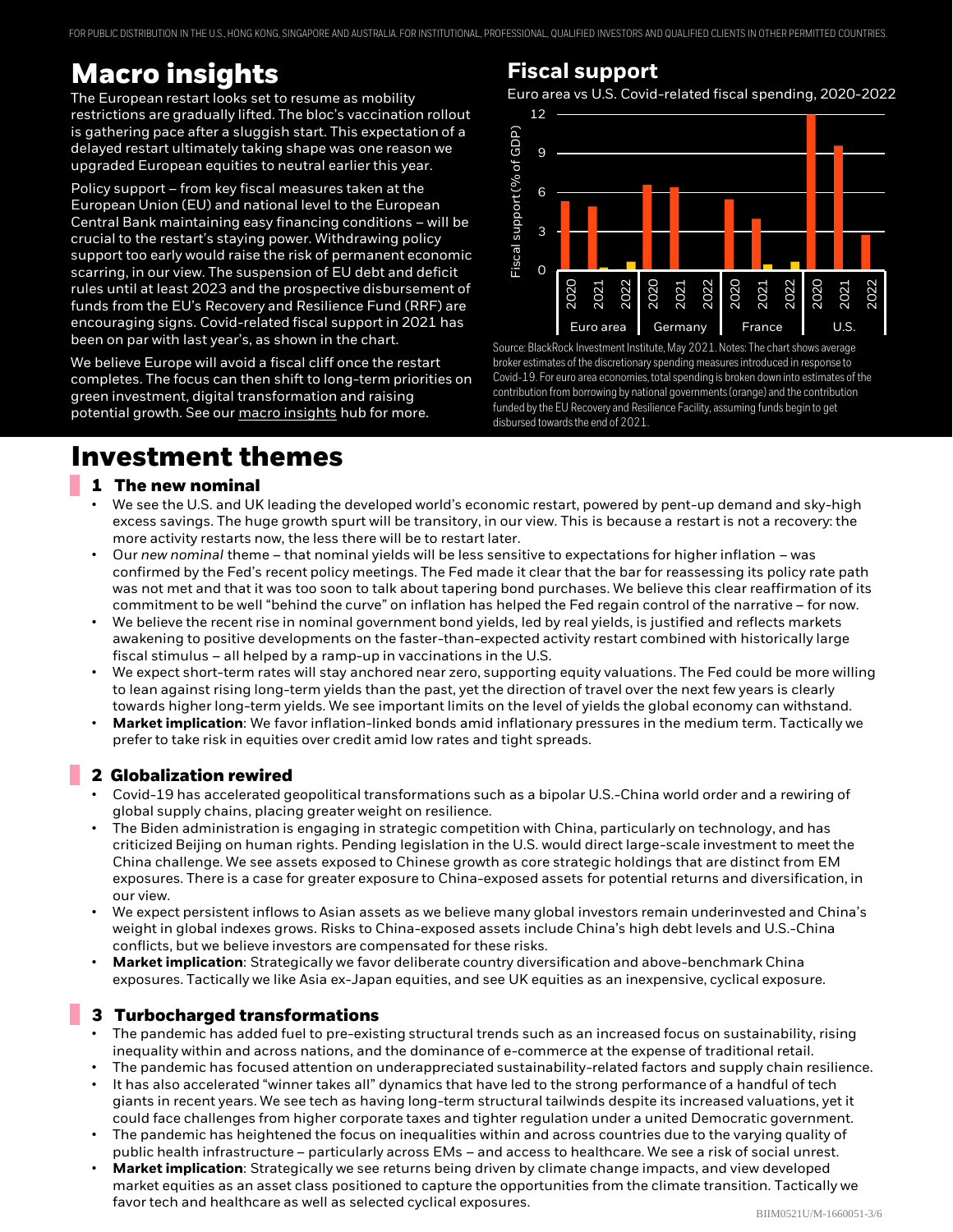FOR PUBLIC DISTRIBUTION IN THE U.S., HONG KONG, SINGAPORE AND AUSTRALIA. FOR INSTITUTIONAL, PROFESSIONAL, QUALIFIED INVESTORS AND QUALIFIED CLIENTS IN OTHER PERMITTED COUNTRIES.

### **Macro insights**

The European restart looks set to resume as mobility restrictions are gradually lifted. The bloc's vaccination rollout is gathering pace after a sluggish start. This expectation of a delayed restart ultimately taking shape was one reason we upgraded European equities to neutral earlier this year.

Policy support – from key fiscal measures taken at the European Union (EU) and national level to the European Central Bank maintaining easy financing conditions – will be crucial to the restart's staying power. Withdrawing policy support too early would raise the risk of permanent economic scarring, in our view. The suspension of EU debt and deficit rules until at least 2023 and the prospective disbursement of funds from the EU's Recovery and Resilience Fund (RRF) are encouraging signs. Covid-related fiscal support in 2021 has been on par with last year's, as shown in the chart.

We believe Europe will avoid a fiscal cliff once the restart completes. The focus can then shift to long-term priorities on green investment, digital transformation and raising potential growth. See our [macro insights](https://www.blackrock.com/corporate/insights/blackrock-investment-institute/macro-insights) hub for more.

#### **Investment themes**

#### **1 The new nominal**

- We see the U.S. and UK leading the developed world's economic restart, powered by pent-up demand and sky-high excess savings. The huge growth spurt will be transitory, in our view. This is because a restart is not a recovery: the more activity restarts now, the less there will be to restart later.
- Our *new nominal* theme that nominal yields will be less sensitive to expectations for higher inflation was confirmed by the Fed's recent policy meetings. The Fed made it clear that the bar for reassessing its policy rate path was not met and that it was too soon to talk about tapering bond purchases. We believe this clear reaffirmation of its commitment to be well "behind the curve" on inflation has helped the Fed regain control of the narrative – for now.
- We believe the recent rise in nominal government bond yields, led by real yields, is justified and reflects markets awakening to positive developments on the faster-than-expected activity restart combined with historically large fiscal stimulus – all helped by a ramp-up in vaccinations in the U.S.
- We expect short-term rates will stay anchored near zero, supporting equity valuations. The Fed could be more willing to lean against rising long-term yields than the past, yet the direction of travel over the next few years is clearly towards higher long-term yields. We see important limits on the level of yields the global economy can withstand.
- **Market implication**: We favor inflation-linked bonds amid inflationary pressures in the medium term. Tactically we prefer to take risk in equities over credit amid low rates and tight spreads.

#### **2 Globalization rewired**

- Covid-19 has accelerated geopolitical transformations such as a bipolar U.S.-China world order and a rewiring of global supply chains, placing greater weight on resilience.
- The Biden administration is engaging in strategic competition with China, particularly on technology, and has criticized Beijing on human rights. Pending legislation in the U.S. would direct large-scale investment to meet the China challenge. We see assets exposed to Chinese growth as core strategic holdings that are distinct from EM exposures. There is a case for greater exposure to China-exposed assets for potential returns and diversification, in our view.
- We expect persistent inflows to Asian assets as we believe many global investors remain underinvested and China's weight in global indexes grows. Risks to China-exposed assets include China's high debt levels and U.S.-China conflicts, but we believe investors are compensated for these risks.
- **Market implication**: Strategically we favor deliberate country diversification and above-benchmark China exposures. Tactically we like Asia ex-Japan equities, and see UK equities as an inexpensive, cyclical exposure.

#### **3 Turbocharged transformations**

- The pandemic has added fuel to pre-existing structural trends such as an increased focus on sustainability, rising inequality within and across nations, and the dominance of e-commerce at the expense of traditional retail.
- The pandemic has focused attention on underappreciated sustainability-related factors and supply chain resilience.
- It has also accelerated "winner takes all" dynamics that have led to the strong performance of a handful of tech giants in recent years. We see tech as having long-term structural tailwinds despite its increased valuations, yet it could face challenges from higher corporate taxes and tighter regulation under a united Democratic government.
- The pandemic has heightened the focus on inequalities within and across countries due to the varying quality of public health infrastructure – particularly across EMs – and access to healthcare. We see a risk of social unrest.
- **Market implication**: Strategically we see returns being driven by climate change impacts, and view developed market equities as an asset class positioned to capture the opportunities from the climate transition. Tactically we favor tech and healthcare as well as selected cyclical exposures.

#### **Fiscal support**

Euro area vs U.S. Covid-related fiscal spending, 2020-2022



Source: BlackRock Investment Institute, May 2021. Notes: The chart shows average broker estimates of the discretionary spending measures introduced in response to Covid-19. For euro area economies, total spending is broken down into estimates of the contribution from borrowing by national governments (orange) and the contribution funded by the EU Recovery and Resilience Facility, assuming funds begin to get disbursed towards the end of 2021.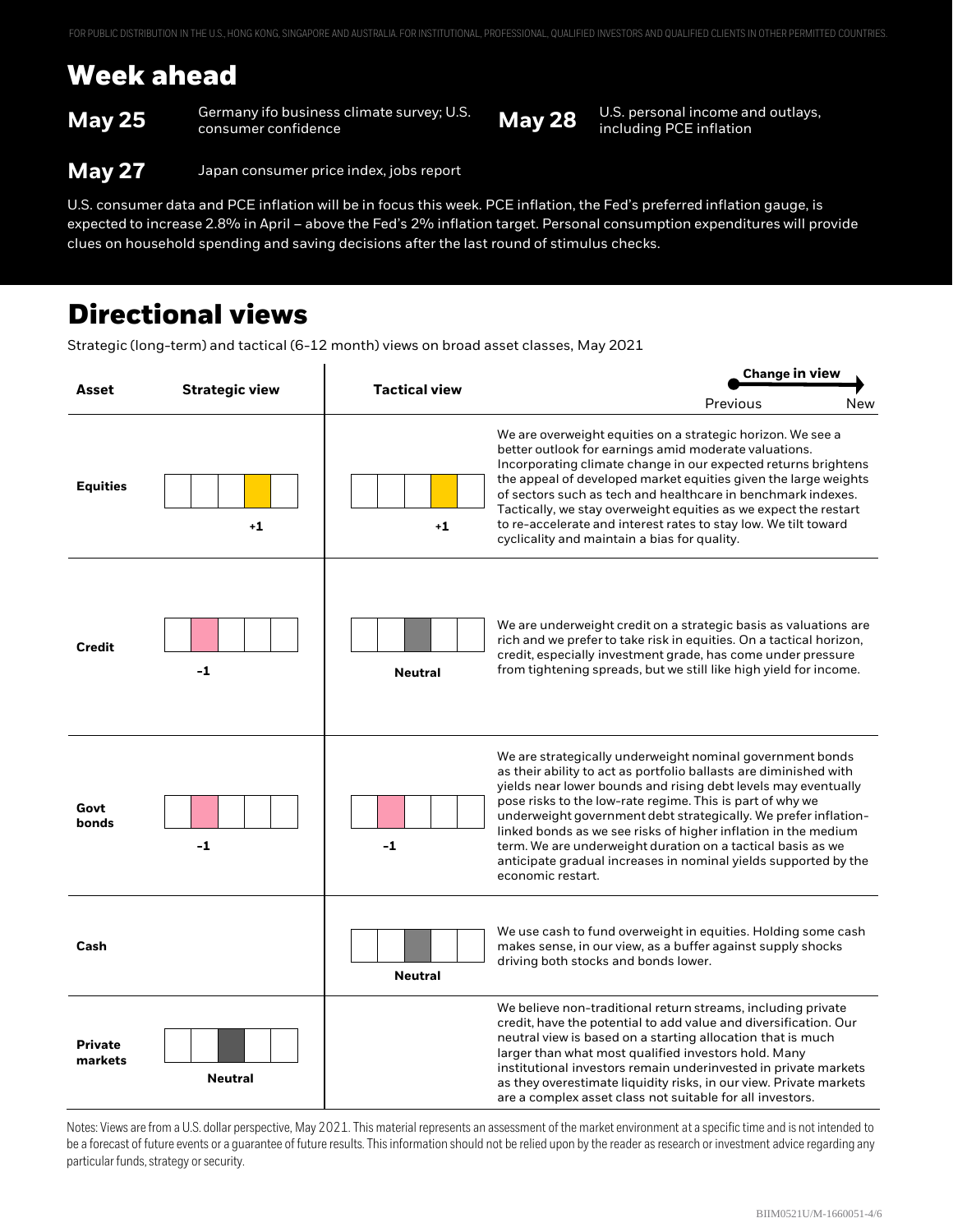### **Week ahead**

**May 25** Germany ifo business climate survey; U.S. **May 28** U.S. personal income and outlays, **May 28** including PCE inflation

including PCE inflation

**May 27** Japan consumer price index, jobs report

U.S. consumer data and PCE inflation will be in focus this week. PCE inflation, the Fed's preferred inflation gauge, is expected to increase 2.8% in April – above the Fed's 2% inflation target. Personal consumption expenditures will provide clues on household spending and saving decisions after the last round of stimulus checks.

#### **Directional views**

Strategic (long-term) and tactical (6-12 month) views on broad asset classes, May 2021

| Asset                     | <b>Strategic view</b> | <b>Tactical view</b> | <b>Change in view</b>                                                                                                                                                                                                                                                                                                                                                                                                                                                                                                                                     |  |
|---------------------------|-----------------------|----------------------|-----------------------------------------------------------------------------------------------------------------------------------------------------------------------------------------------------------------------------------------------------------------------------------------------------------------------------------------------------------------------------------------------------------------------------------------------------------------------------------------------------------------------------------------------------------|--|
|                           |                       |                      | Previous<br>New                                                                                                                                                                                                                                                                                                                                                                                                                                                                                                                                           |  |
| <b>Equities</b>           | $+1$                  | $+1$                 | We are overweight equities on a strategic horizon. We see a<br>better outlook for earnings amid moderate valuations.<br>Incorporating climate change in our expected returns brightens<br>the appeal of developed market equities given the large weights<br>of sectors such as tech and healthcare in benchmark indexes.<br>Tactically, we stay overweight equities as we expect the restart<br>to re-accelerate and interest rates to stay low. We tilt toward<br>cyclicality and maintain a bias for quality.                                          |  |
| <b>Credit</b>             | $-1$                  | <b>Neutral</b>       | We are underweight credit on a strategic basis as valuations are<br>rich and we prefer to take risk in equities. On a tactical horizon,<br>credit, especially investment grade, has come under pressure<br>from tightening spreads, but we still like high yield for income.                                                                                                                                                                                                                                                                              |  |
| Govt<br>bonds             | $-1$                  | $-1$                 | We are strategically underweight nominal government bonds<br>as their ability to act as portfolio ballasts are diminished with<br>yields near lower bounds and rising debt levels may eventually<br>pose risks to the low-rate regime. This is part of why we<br>underweight government debt strategically. We prefer inflation-<br>linked bonds as we see risks of higher inflation in the medium<br>term. We are underweight duration on a tactical basis as we<br>anticipate gradual increases in nominal yields supported by the<br>economic restart. |  |
| Cash                      |                       | <b>Neutral</b>       | We use cash to fund overweight in equities. Holding some cash<br>makes sense, in our view, as a buffer against supply shocks<br>driving both stocks and bonds lower.                                                                                                                                                                                                                                                                                                                                                                                      |  |
| <b>Private</b><br>markets | <b>Neutral</b>        |                      | We believe non-traditional return streams, including private<br>credit, have the potential to add value and diversification. Our<br>neutral view is based on a starting allocation that is much<br>larger than what most qualified investors hold. Many<br>institutional investors remain underinvested in private markets<br>as they overestimate liquidity risks, in our view. Private markets<br>are a complex asset class not suitable for all investors.                                                                                             |  |

Notes: Views are from a U.S. dollar perspective, May 2021. This material represents an assessment of the market environment at a specific time and is not intended to be a forecast of future events or a guarantee of future results. This information should not be relied upon by the reader as research or investment advice regarding any particular funds, strategy or security.

▲ Overweight **—** Neutral ▼ Underweight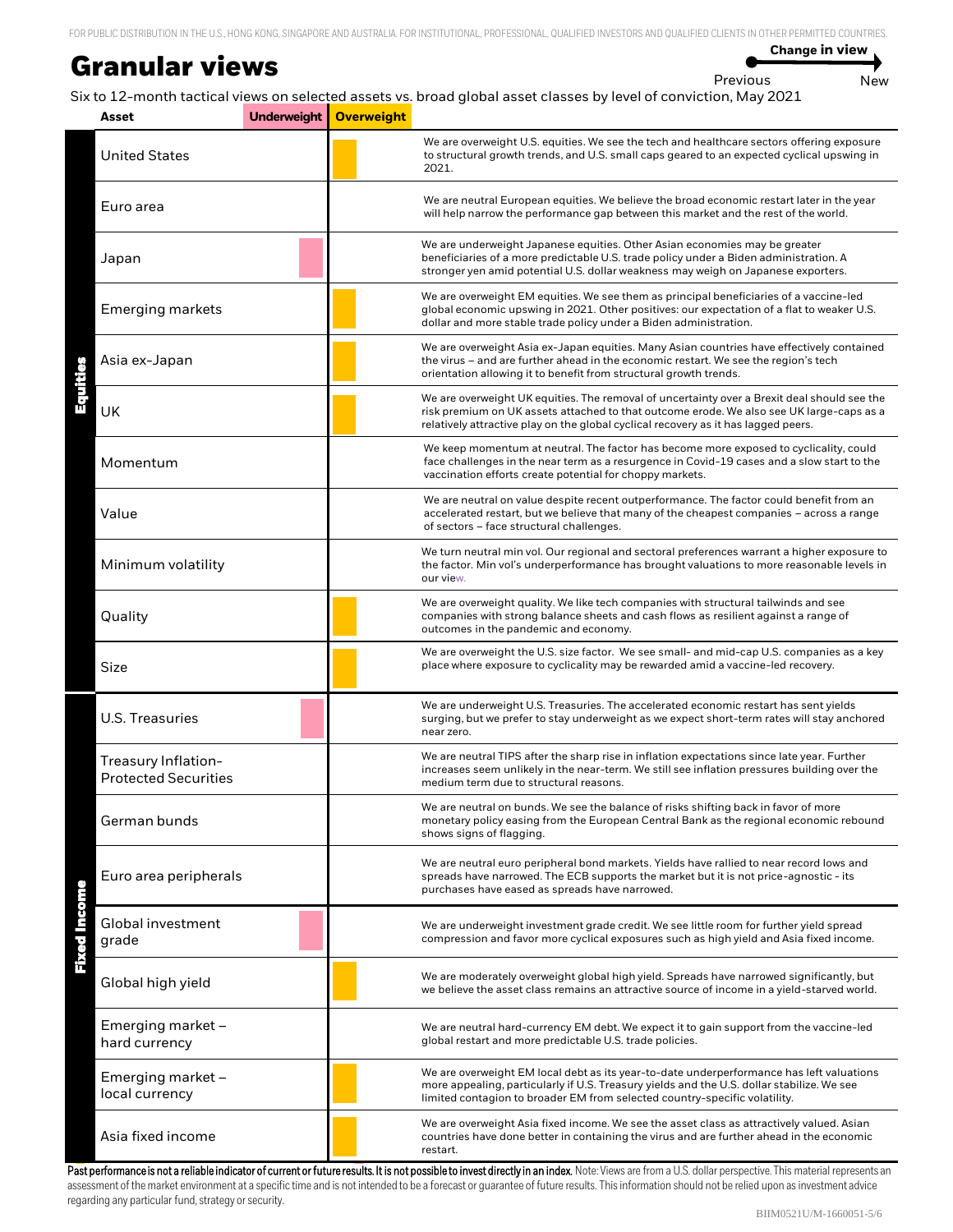#### **Granular views**

**Change in view**

```
Previous New
```
Six to 12-month tactical views on selected assets vs. broad global asset classes by level of conviction, May 2021

| Asset                                              | Underweight | <b>Overweight</b> |                                                                                                                                                                                                                                                                               |
|----------------------------------------------------|-------------|-------------------|-------------------------------------------------------------------------------------------------------------------------------------------------------------------------------------------------------------------------------------------------------------------------------|
| <b>United States</b>                               |             |                   | We are overweight U.S. equities. We see the tech and healthcare sectors offering exposure<br>to structural growth trends, and U.S. small caps geared to an expected cyclical upswing in<br>2021.                                                                              |
| Euro area                                          |             |                   | We are neutral European equities. We believe the broad economic restart later in the year<br>will help narrow the performance gap between this market and the rest of the world.                                                                                              |
| Japan                                              |             |                   | We are underweight Japanese equities. Other Asian economies may be greater<br>beneficiaries of a more predictable U.S. trade policy under a Biden administration. A<br>stronger yen amid potential U.S. dollar weakness may weigh on Japanese exporters.                      |
| <b>Emerging markets</b>                            |             |                   | We are overweight EM equities. We see them as principal beneficiaries of a vaccine-led<br>global economic upswing in 2021. Other positives: our expectation of a flat to weaker U.S.<br>dollar and more stable trade policy under a Biden administration.                     |
| Asia ex-Japan                                      |             |                   | We are overweight Asia ex-Japan equities. Many Asian countries have effectively contained<br>the virus - and are further ahead in the economic restart. We see the region's tech<br>orientation allowing it to benefit from structural growth trends.                         |
| UK                                                 |             |                   | We are overweight UK equities. The removal of uncertainty over a Brexit deal should see the<br>risk premium on UK assets attached to that outcome erode. We also see UK large-caps as a<br>relatively attractive play on the global cyclical recovery as it has lagged peers. |
| Momentum                                           |             |                   | We keep momentum at neutral. The factor has become more exposed to cyclicality, could<br>face challenges in the near term as a resurgence in Covid-19 cases and a slow start to the<br>vaccination efforts create potential for choppy markets.                               |
| Value<br>Minimum volatility                        |             |                   | We are neutral on value despite recent outperformance. The factor could benefit from an<br>accelerated restart, but we believe that many of the cheapest companies - across a range<br>of sectors - face structural challenges.                                               |
|                                                    |             |                   | We turn neutral min vol. Our regional and sectoral preferences warrant a higher exposure to<br>the factor. Min vol's underperformance has brought valuations to more reasonable levels in<br>our view.                                                                        |
| Quality                                            |             |                   | We are overweight quality. We like tech companies with structural tailwinds and see<br>companies with strong balance sheets and cash flows as resilient against a range of<br>outcomes in the pandemic and economy.                                                           |
| Size                                               |             |                   | We are overweight the U.S. size factor. We see small- and mid-cap U.S. companies as a key<br>place where exposure to cyclicality may be rewarded amid a vaccine-led recovery.                                                                                                 |
| U.S. Treasuries                                    |             |                   | We are underweight U.S. Treasuries. The accelerated economic restart has sent yields<br>surging, but we prefer to stay underweight as we expect short-term rates will stay anchored<br>near zero.                                                                             |
| Treasury Inflation-<br><b>Protected Securities</b> |             |                   | We are neutral TIPS after the sharp rise in inflation expectations since late year. Further<br>increases seem unlikely in the near-term. We still see inflation pressures building over the<br>medium term due to structural reasons.                                         |
| German bunds                                       |             |                   | We are neutral on bunds. We see the balance of risks shifting back in favor of more<br>monetary policy easing from the European Central Bank as the regional economic rebound<br>shows signs of flagging.                                                                     |
| Euro area peripherals                              |             |                   | We are neutral euro peripheral bond markets. Yields have rallied to near record lows and<br>spreads have narrowed. The ECB supports the market but it is not price-agnostic - its<br>purchases have eased as spreads have narrowed.                                           |
| <b>Fixed Income</b><br>Global investment<br>grade  |             |                   | We are underweight investment grade credit. We see little room for further yield spread<br>compression and favor more cyclical exposures such as high yield and Asia fixed income.                                                                                            |
| Global high yield                                  |             |                   | We are moderately overweight global high yield. Spreads have narrowed significantly, but<br>we believe the asset class remains an attractive source of income in a yield-starved world.                                                                                       |
| Emerging market -<br>hard currency                 |             |                   | We are neutral hard-currency EM debt. We expect it to gain support from the vaccine-led<br>global restart and more predictable U.S. trade policies.                                                                                                                           |
| Emerging market -<br>local currency                |             |                   | We are overweight EM local debt as its year-to-date underperformance has left valuations<br>more appealing, particularly if U.S. Treasury yields and the U.S. dollar stabilize. We see<br>limited contagion to broader EM from selected country-specific volatility.          |
| Asia fixed income                                  |             |                   | We are overweight Asia fixed income. We see the asset class as attractively valued. Asian<br>countries have done better in containing the virus and are further ahead in the economic<br>restart.                                                                             |

Past performance is not a reliable indicator of current or future results. It is not possible to invest directly in an index. Note: Views are from a U.S. dollar perspective. This material represents an assessment of the market environment at a specific time and is not intended to be a forecast or guarantee of future results. This information should not be relied upon as investment advice regarding any particular fund, strategy or security.